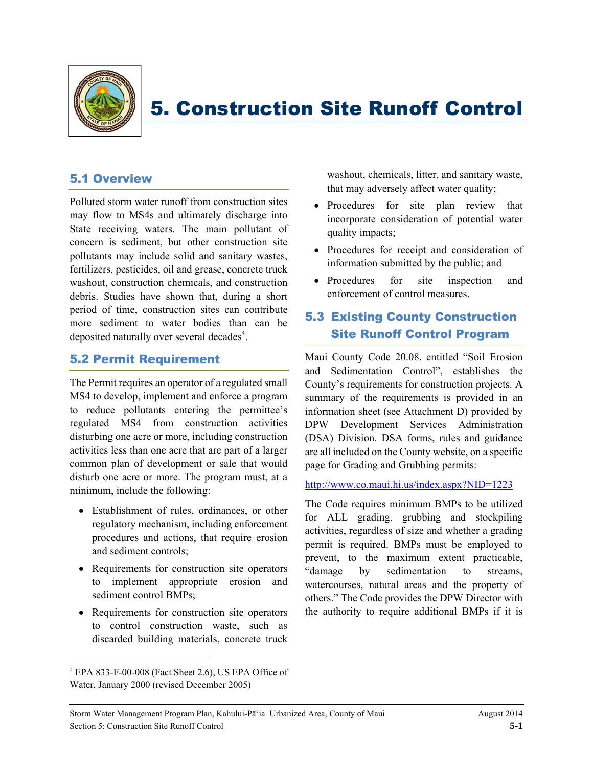

# 5. Construction Site Runoff Control

## 5.1 Overview

Polluted storm water runoff from construction sites may flow to MS4s and ultimately discharge into State receiving waters. The main pollutant of concern is sediment, but other construction site pollutants may include solid and sanitary wastes, fertilizers, pesticides, oil and grease, concrete truck washout, construction chemicals, and construction debris. Studies have shown that, during a short period of time, construction sites can contribute more sediment to water bodies than can be deposited naturally over several decades<sup>4</sup>.

#### 5.2 Permit Requirement

The Permit requires an operator of a regulated small MS4 to develop, implement and enforce a program to reduce pollutants entering the permittee's regulated MS4 from construction activities disturbing one acre or more, including construction activities less than one acre that are part of a larger common plan of development or sale that would disturb one acre or more. The program must, at a minimum, include the following:

- Establishment of rules, ordinances, or other regulatory mechanism, including enforcement procedures and actions, that require erosion and sediment controls;
- Requirements for construction site operators to implement appropriate erosion and sediment control BMPs;
- Requirements for construction site operators to control construction waste, such as discarded building materials, concrete truck

l

washout, chemicals, litter, and sanitary waste, that may adversely affect water quality;

- Procedures for site plan review that incorporate consideration of potential water quality impacts;
- Procedures for receipt and consideration of information submitted by the public; and
- Procedures for site inspection and enforcement of control measures.

## 5.3 Existing County Construction Site Runoff Control Program

Maui County Code 20.08, entitled "Soil Erosion and Sedimentation Control", establishes the County's requirements for construction projects. A summary of the requirements is provided in an information sheet (see Attachment D) provided by DPW Development Services Administration (DSA) Division. DSA forms, rules and guidance are all included on the County website, on a specific page for Grading and Grubbing permits:

http://www.co.maui.hi.us/index.aspx?NID=1223

The Code requires minimum BMPs to be utilized for ALL grading, grubbing and stockpiling activities, regardless of size and whether a grading permit is required. BMPs must be employed to prevent, to the maximum extent practicable, "damage by sedimentation to streams, watercourses, natural areas and the property of others." The Code provides the DPW Director with the authority to require additional BMPs if it is

<sup>4</sup> EPA 833-F-00-008 (Fact Sheet 2.6), US EPA Office of Water, January 2000 (revised December 2005)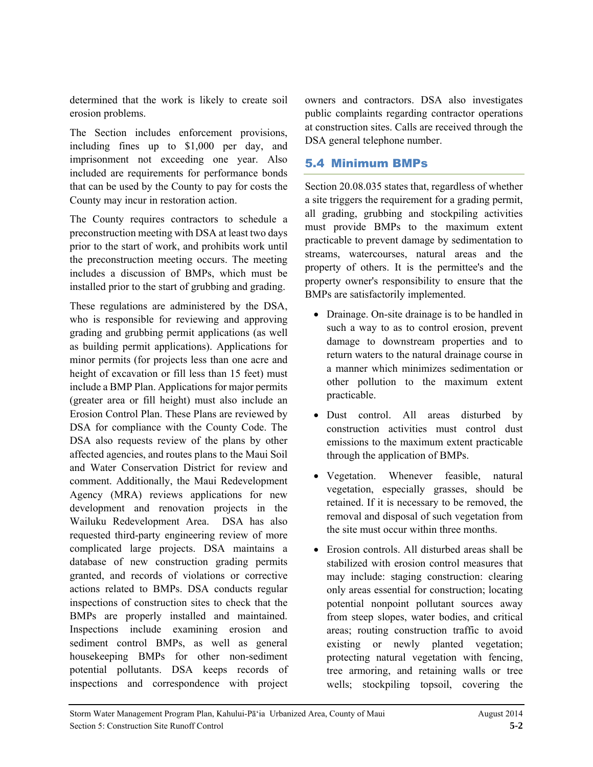determined that the work is likely to create soil erosion problems.

The Section includes enforcement provisions, including fines up to \$1,000 per day, and imprisonment not exceeding one year. Also included are requirements for performance bonds that can be used by the County to pay for costs the County may incur in restoration action.

The County requires contractors to schedule a preconstruction meeting with DSA at least two days prior to the start of work, and prohibits work until the preconstruction meeting occurs. The meeting includes a discussion of BMPs, which must be installed prior to the start of grubbing and grading.

These regulations are administered by the DSA, who is responsible for reviewing and approving grading and grubbing permit applications (as well as building permit applications). Applications for minor permits (for projects less than one acre and height of excavation or fill less than 15 feet) must include a BMP Plan. Applications for major permits (greater area or fill height) must also include an Erosion Control Plan. These Plans are reviewed by DSA for compliance with the County Code. The DSA also requests review of the plans by other affected agencies, and routes plans to the Maui Soil and Water Conservation District for review and comment. Additionally, the Maui Redevelopment Agency (MRA) reviews applications for new development and renovation projects in the Wailuku Redevelopment Area. DSA has also requested third-party engineering review of more complicated large projects. DSA maintains a database of new construction grading permits granted, and records of violations or corrective actions related to BMPs. DSA conducts regular inspections of construction sites to check that the BMPs are properly installed and maintained. Inspections include examining erosion and sediment control BMPs, as well as general housekeeping BMPs for other non-sediment potential pollutants. DSA keeps records of inspections and correspondence with project owners and contractors. DSA also investigates public complaints regarding contractor operations at construction sites. Calls are received through the DSA general telephone number.

### 5.4 Minimum BMPs

Section 20.08.035 states that, regardless of whether a site triggers the requirement for a grading permit, all grading, grubbing and stockpiling activities must provide BMPs to the maximum extent practicable to prevent damage by sedimentation to streams, watercourses, natural areas and the property of others. It is the permittee's and the property owner's responsibility to ensure that the BMPs are satisfactorily implemented.

- Drainage. On-site drainage is to be handled in such a way to as to control erosion, prevent damage to downstream properties and to return waters to the natural drainage course in a manner which minimizes sedimentation or other pollution to the maximum extent practicable.
- Dust control. All areas disturbed by construction activities must control dust emissions to the maximum extent practicable through the application of BMPs.
- Vegetation. Whenever feasible, natural vegetation, especially grasses, should be retained. If it is necessary to be removed, the removal and disposal of such vegetation from the site must occur within three months.
- Erosion controls. All disturbed areas shall be stabilized with erosion control measures that may include: staging construction: clearing only areas essential for construction; locating potential nonpoint pollutant sources away from steep slopes, water bodies, and critical areas; routing construction traffic to avoid existing or newly planted vegetation; protecting natural vegetation with fencing, tree armoring, and retaining walls or tree wells; stockpiling topsoil, covering the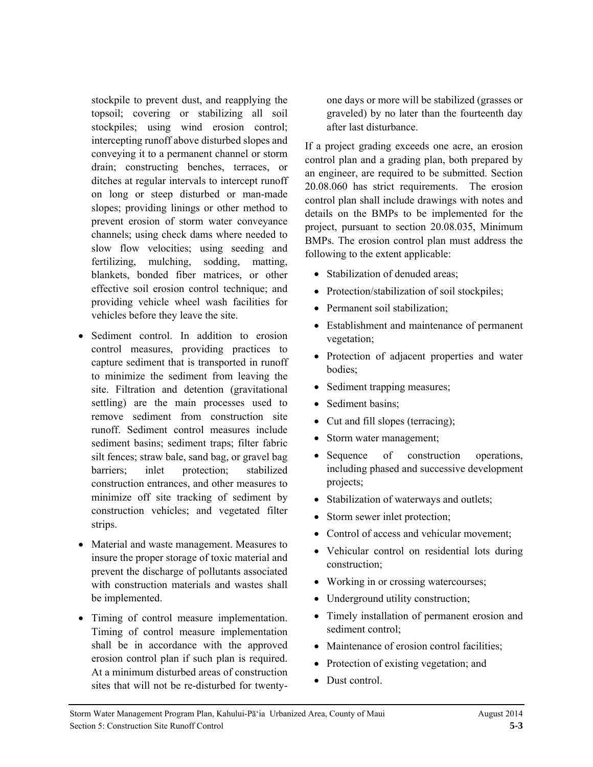stockpile to prevent dust, and reapplying the topsoil; covering or stabilizing all soil stockpiles; using wind erosion control; intercepting runoff above disturbed slopes and conveying it to a permanent channel or storm drain; constructing benches, terraces, or ditches at regular intervals to intercept runoff on long or steep disturbed or man-made slopes; providing linings or other method to prevent erosion of storm water conveyance channels; using check dams where needed to slow flow velocities; using seeding and fertilizing, mulching, sodding, matting, blankets, bonded fiber matrices, or other effective soil erosion control technique; and providing vehicle wheel wash facilities for vehicles before they leave the site.

- Sediment control. In addition to erosion control measures, providing practices to capture sediment that is transported in runoff to minimize the sediment from leaving the site. Filtration and detention (gravitational settling) are the main processes used to remove sediment from construction site runoff. Sediment control measures include sediment basins; sediment traps; filter fabric silt fences; straw bale, sand bag, or gravel bag barriers; inlet protection; stabilized construction entrances, and other measures to minimize off site tracking of sediment by construction vehicles; and vegetated filter strips.
- Material and waste management. Measures to insure the proper storage of toxic material and prevent the discharge of pollutants associated with construction materials and wastes shall be implemented.
- Timing of control measure implementation. Timing of control measure implementation shall be in accordance with the approved erosion control plan if such plan is required. At a minimum disturbed areas of construction sites that will not be re-disturbed for twenty-

one days or more will be stabilized (grasses or graveled) by no later than the fourteenth day after last disturbance.

If a project grading exceeds one acre, an erosion control plan and a grading plan, both prepared by an engineer, are required to be submitted. Section 20.08.060 has strict requirements. The erosion control plan shall include drawings with notes and details on the BMPs to be implemented for the project, pursuant to section 20.08.035, Minimum BMPs. The erosion control plan must address the following to the extent applicable:

- Stabilization of denuded areas:
- Protection/stabilization of soil stockpiles;
- Permanent soil stabilization;
- Establishment and maintenance of permanent vegetation;
- Protection of adjacent properties and water bodies;
- Sediment trapping measures;
- Sediment basins;
- Cut and fill slopes (terracing);
- Storm water management;
- Sequence of construction operations, including phased and successive development projects;
- Stabilization of waterways and outlets;
- Storm sewer inlet protection;
- Control of access and vehicular movement;
- Vehicular control on residential lots during construction;
- Working in or crossing watercourses;
- Underground utility construction;
- Timely installation of permanent erosion and sediment control;
- Maintenance of erosion control facilities;
- Protection of existing vegetation; and
- Dust control.